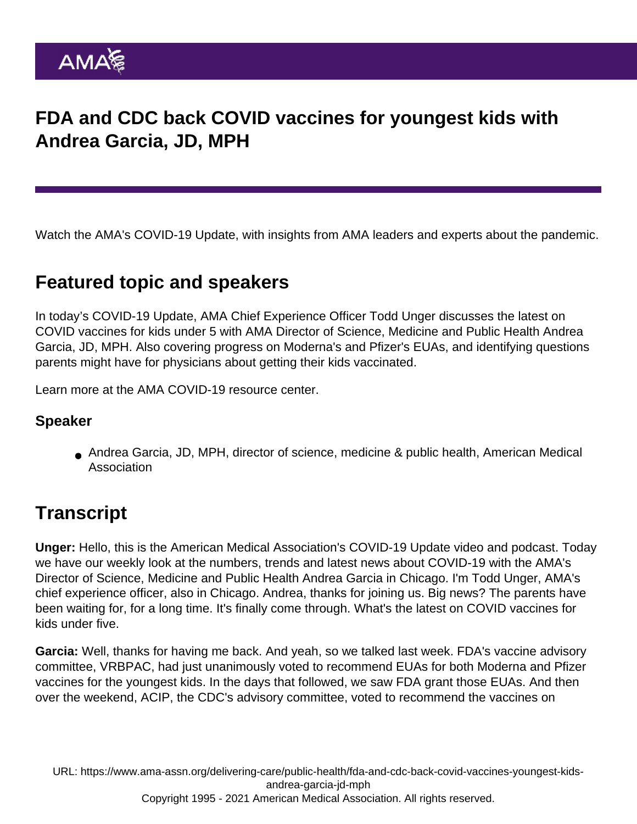## FDA and CDC back COVID vaccines for youngest kids with Andrea Garcia, JD, MPH

Watch the AMA's COVID-19 Update, with insights from AMA leaders and experts about the pandemic.

## Featured topic and speakers

In today's COVID-19 Update, AMA Chief Experience Officer Todd Unger discusses the latest on COVID vaccines for kids under 5 with AMA Director of Science, Medicine and Public Health Andrea Garcia, JD, MPH. Also covering progress on Moderna's and Pfizer's EUAs, and identifying questions parents might have for physicians about getting their kids vaccinated.

Learn more at the [AMA COVID-19 resource center](https://www.ama-assn.org/delivering-care/public-health/covid-19-2019-novel-coronavirus-resource-center-physicians).

## Speaker

Andrea Garcia, JD, MPH, director of science, medicine & public health, American Medical Association

## **Transcript**

Unger: Hello, this is the American Medical Association's COVID-19 Update video and podcast. Today we have our weekly look at the numbers, trends and latest news about COVID-19 with the AMA's Director of Science, Medicine and Public Health Andrea Garcia in Chicago. I'm Todd Unger, AMA's chief experience officer, also in Chicago. Andrea, thanks for joining us. Big news? The parents have been waiting for, for a long time. It's finally come through. What's the latest on COVID vaccines for kids under five.

Garcia: Well, thanks for having me back. And yeah, so we talked last week. FDA's vaccine advisory committee, VRBPAC, had just unanimously voted to recommend EUAs for both Moderna and Pfizer vaccines for the youngest kids. In the days that followed, we saw FDA grant those EUAs. And then over the weekend, ACIP, the CDC's advisory committee, voted to recommend the vaccines on

URL: [https://www.ama-assn.org/delivering-care/public-health/fda-and-cdc-back-covid-vaccines-youngest-kids](https://www.ama-assn.org/delivering-care/public-health/fda-and-cdc-back-covid-vaccines-youngest-kids-andrea-garcia-jd-mph)andrea-garcia-id-mph Copyright 1995 - 2021 American Medical Association. All rights reserved.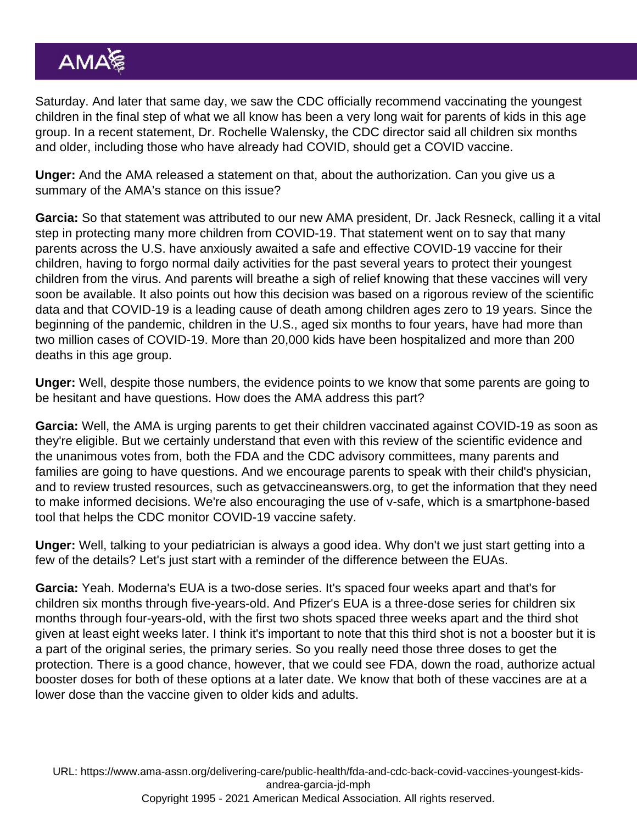Saturday. And later that same day, we saw the CDC officially recommend vaccinating the youngest children in the final step of what we all know has been a very long wait for parents of kids in this age group. In a recent statement, Dr. Rochelle Walensky, the CDC director said all children six months and older, including those who have already had COVID, should get a COVID vaccine.

Unger: And the AMA released a statement on that, about the authorization. Can you give us a summary of the AMA's stance on this issue?

Garcia: So that statement was attributed to our new AMA president, Dr. Jack Resneck, calling it a vital step in protecting many more children from COVID-19. That statement went on to say that many parents across the U.S. have anxiously awaited a safe and effective COVID-19 vaccine for their children, having to forgo normal daily activities for the past several years to protect their youngest children from the virus. And parents will breathe a sigh of relief knowing that these vaccines will very soon be available. It also points out how this decision was based on a rigorous review of the scientific data and that COVID-19 is a leading cause of death among children ages zero to 19 years. Since the beginning of the pandemic, children in the U.S., aged six months to four years, have had more than two million cases of COVID-19. More than 20,000 kids have been hospitalized and more than 200 deaths in this age group.

Unger: Well, despite those numbers, the evidence points to we know that some parents are going to be hesitant and have questions. How does the AMA address this part?

Garcia: Well, the AMA is urging parents to get their children vaccinated against COVID-19 as soon as they're eligible. But we certainly understand that even with this review of the scientific evidence and the unanimous votes from, both the FDA and the CDC advisory committees, many parents and families are going to have questions. And we encourage parents to speak with their child's physician, and to review trusted resources, such as getvaccineanswers.org, to get the information that they need to make informed decisions. We're also encouraging the use of v-safe, which is a smartphone-based tool that helps the CDC monitor COVID-19 vaccine safety.

Unger: Well, talking to your pediatrician is always a good idea. Why don't we just start getting into a few of the details? Let's just start with a reminder of the difference between the EUAs.

Garcia: Yeah. Moderna's EUA is a two-dose series. It's spaced four weeks apart and that's for children six months through five-years-old. And Pfizer's EUA is a three-dose series for children six months through four-years-old, with the first two shots spaced three weeks apart and the third shot given at least eight weeks later. I think it's important to note that this third shot is not a booster but it is a part of the original series, the primary series. So you really need those three doses to get the protection. There is a good chance, however, that we could see FDA, down the road, authorize actual booster doses for both of these options at a later date. We know that both of these vaccines are at a lower dose than the vaccine given to older kids and adults.

URL: [https://www.ama-assn.org/delivering-care/public-health/fda-and-cdc-back-covid-vaccines-youngest-kids](https://www.ama-assn.org/delivering-care/public-health/fda-and-cdc-back-covid-vaccines-youngest-kids-andrea-garcia-jd-mph)andrea-garcia-id-mph Copyright 1995 - 2021 American Medical Association. All rights reserved.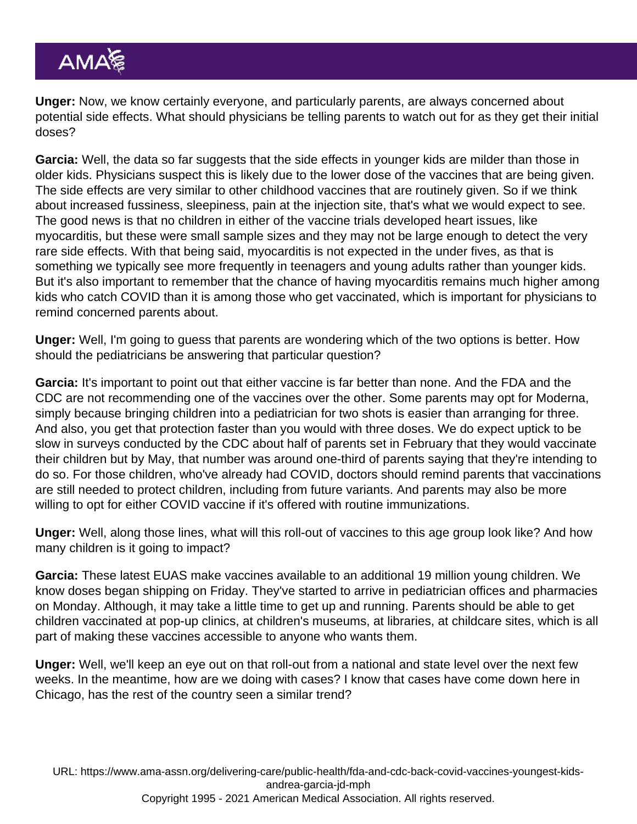Unger: Now, we know certainly everyone, and particularly parents, are always concerned about potential side effects. What should physicians be telling parents to watch out for as they get their initial doses?

Garcia: Well, the data so far suggests that the side effects in younger kids are milder than those in older kids. Physicians suspect this is likely due to the lower dose of the vaccines that are being given. The side effects are very similar to other childhood vaccines that are routinely given. So if we think about increased fussiness, sleepiness, pain at the injection site, that's what we would expect to see. The good news is that no children in either of the vaccine trials developed heart issues, like myocarditis, but these were small sample sizes and they may not be large enough to detect the very rare side effects. With that being said, myocarditis is not expected in the under fives, as that is something we typically see more frequently in teenagers and young adults rather than younger kids. But it's also important to remember that the chance of having myocarditis remains much higher among kids who catch COVID than it is among those who get vaccinated, which is important for physicians to remind concerned parents about.

Unger: Well, I'm going to guess that parents are wondering which of the two options is better. How should the pediatricians be answering that particular question?

Garcia: It's important to point out that either vaccine is far better than none. And the FDA and the CDC are not recommending one of the vaccines over the other. Some parents may opt for Moderna, simply because bringing children into a pediatrician for two shots is easier than arranging for three. And also, you get that protection faster than you would with three doses. We do expect uptick to be slow in surveys conducted by the CDC about half of parents set in February that they would vaccinate their children but by May, that number was around one-third of parents saying that they're intending to do so. For those children, who've already had COVID, doctors should remind parents that vaccinations are still needed to protect children, including from future variants. And parents may also be more willing to opt for either COVID vaccine if it's offered with routine immunizations.

Unger: Well, along those lines, what will this roll-out of vaccines to this age group look like? And how many children is it going to impact?

Garcia: These latest EUAS make vaccines available to an additional 19 million young children. We know doses began shipping on Friday. They've started to arrive in pediatrician offices and pharmacies on Monday. Although, it may take a little time to get up and running. Parents should be able to get children vaccinated at pop-up clinics, at children's museums, at libraries, at childcare sites, which is all part of making these vaccines accessible to anyone who wants them.

Unger: Well, we'll keep an eye out on that roll-out from a national and state level over the next few weeks. In the meantime, how are we doing with cases? I know that cases have come down here in Chicago, has the rest of the country seen a similar trend?

URL: [https://www.ama-assn.org/delivering-care/public-health/fda-and-cdc-back-covid-vaccines-youngest-kids](https://www.ama-assn.org/delivering-care/public-health/fda-and-cdc-back-covid-vaccines-youngest-kids-andrea-garcia-jd-mph)andrea-garcia-id-mph Copyright 1995 - 2021 American Medical Association. All rights reserved.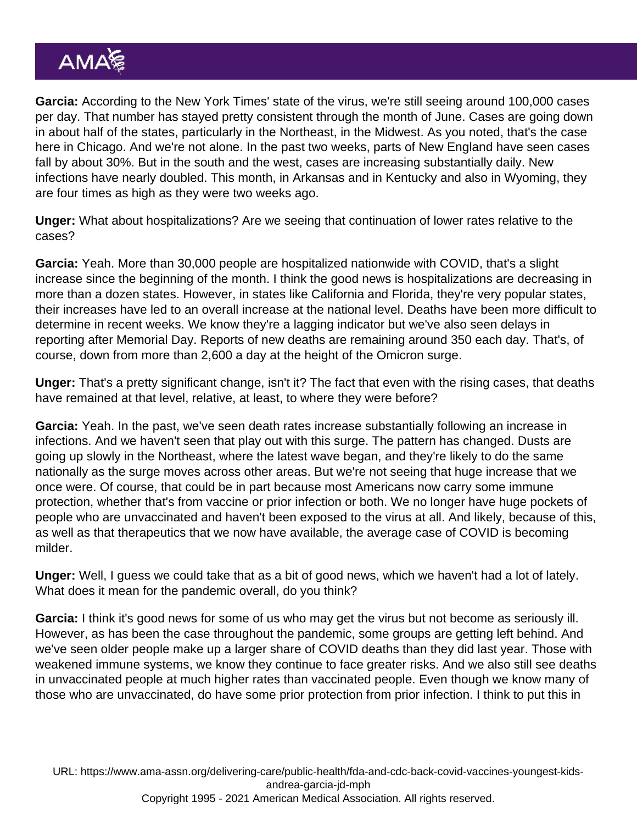Garcia: According to the New York Times' state of the virus, we're still seeing around 100,000 cases per day. That number has stayed pretty consistent through the month of June. Cases are going down in about half of the states, particularly in the Northeast, in the Midwest. As you noted, that's the case here in Chicago. And we're not alone. In the past two weeks, parts of New England have seen cases fall by about 30%. But in the south and the west, cases are increasing substantially daily. New infections have nearly doubled. This month, in Arkansas and in Kentucky and also in Wyoming, they are four times as high as they were two weeks ago.

Unger: What about hospitalizations? Are we seeing that continuation of lower rates relative to the cases?

Garcia: Yeah. More than 30,000 people are hospitalized nationwide with COVID, that's a slight increase since the beginning of the month. I think the good news is hospitalizations are decreasing in more than a dozen states. However, in states like California and Florida, they're very popular states, their increases have led to an overall increase at the national level. Deaths have been more difficult to determine in recent weeks. We know they're a lagging indicator but we've also seen delays in reporting after Memorial Day. Reports of new deaths are remaining around 350 each day. That's, of course, down from more than 2,600 a day at the height of the Omicron surge.

Unger: That's a pretty significant change, isn't it? The fact that even with the rising cases, that deaths have remained at that level, relative, at least, to where they were before?

Garcia: Yeah. In the past, we've seen death rates increase substantially following an increase in infections. And we haven't seen that play out with this surge. The pattern has changed. Dusts are going up slowly in the Northeast, where the latest wave began, and they're likely to do the same nationally as the surge moves across other areas. But we're not seeing that huge increase that we once were. Of course, that could be in part because most Americans now carry some immune protection, whether that's from vaccine or prior infection or both. We no longer have huge pockets of people who are unvaccinated and haven't been exposed to the virus at all. And likely, because of this, as well as that therapeutics that we now have available, the average case of COVID is becoming milder.

Unger: Well, I guess we could take that as a bit of good news, which we haven't had a lot of lately. What does it mean for the pandemic overall, do you think?

Garcia: I think it's good news for some of us who may get the virus but not become as seriously ill. However, as has been the case throughout the pandemic, some groups are getting left behind. And we've seen older people make up a larger share of COVID deaths than they did last year. Those with weakened immune systems, we know they continue to face greater risks. And we also still see deaths in unvaccinated people at much higher rates than vaccinated people. Even though we know many of those who are unvaccinated, do have some prior protection from prior infection. I think to put this in

URL: [https://www.ama-assn.org/delivering-care/public-health/fda-and-cdc-back-covid-vaccines-youngest-kids](https://www.ama-assn.org/delivering-care/public-health/fda-and-cdc-back-covid-vaccines-youngest-kids-andrea-garcia-jd-mph)[andrea-garcia-jd-mph](https://www.ama-assn.org/delivering-care/public-health/fda-and-cdc-back-covid-vaccines-youngest-kids-andrea-garcia-jd-mph) Copyright 1995 - 2021 American Medical Association. All rights reserved.